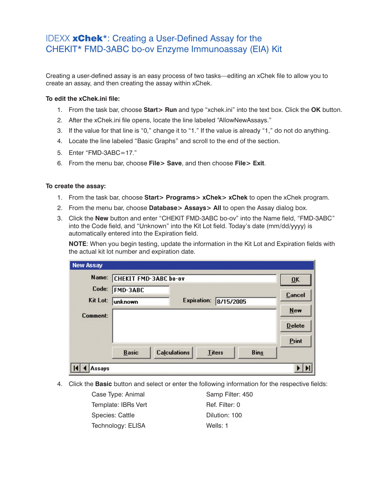## IDEXX xChek\*: Creating a User-Defined Assay for the CHEKIT\* FMD-3ABC bo-ov Enzyme Immunoassay (EIA) Kit

Creating a user-defined assay is an easy process of two tasks—editing an xChek file to allow you to create an assay, and then creating the assay within xChek.

## **To edit the xChek.ini file:**

- 1. From the task bar, choose **Start> Run** and type "xchek.ini" into the text box. Click the **OK** button.
- 2. After the xChek.ini file opens, locate the line labeled "AllowNewAssays."
- 3. If the value for that line is "0," change it to "1." If the value is already "1," do not do anything.
- 4. Locate the line labeled "Basic Graphs" and scroll to the end of the section.
- 5. Enter "FMD-3ABC=17."
- 6. From the menu bar, choose **File> Save**, and then choose **File> Exit**.

## **To create the assay:**

- 1. From the task bar, choose **Start> Programs> xChek> xChek** to open the xChek program.
- 2. From the menu bar, choose **Database> Assays> All** to open the Assay dialog box.
- 3. Click the **New** button and enter "CHEKIT FMD-3ABC bo-ov" into the Name field, "FMD-3ABC" into the Code field, and "Unknown" into the Kit Lot field. Today's date (mm/dd/yyyy) is automatically entered into the Expiration field.

**NOTE**: When you begin testing, update the information in the Kit Lot and Expiration fields with the actual kit lot number and expiration date.

| <b>New Assay</b> |                       |                     |               |             |                           |
|------------------|-----------------------|---------------------|---------------|-------------|---------------------------|
| Name:            | CHEKIT FMD-3ABC bo-ov |                     |               |             | $\overline{\mathbf{0}}$ K |
| Code:            | <b>FMD-3ABC</b>       |                     |               |             | <b>Cancel</b>             |
| Kit Lot:         | unknown               | <b>Expiration:</b>  | 8/15/2005     |             |                           |
| Comment:         |                       |                     |               |             | $New$                     |
|                  |                       |                     |               |             | <b>Delete</b>             |
|                  |                       |                     |               |             | Print                     |
|                  | <b>Basic</b>          | <b>Calculations</b> | <b>Titers</b> | <b>Bins</b> |                           |
| Assays           |                       |                     |               |             |                           |

4. Click the **Basic** button and select or enter the following information for the respective fields:

| Case Type: Animal   | Samp Filter: 450 |
|---------------------|------------------|
| Template: IBRs Vert | Ref. Filter: 0   |
| Species: Cattle     | Dilution: 100    |
| Technology: ELISA   | Wells: 1         |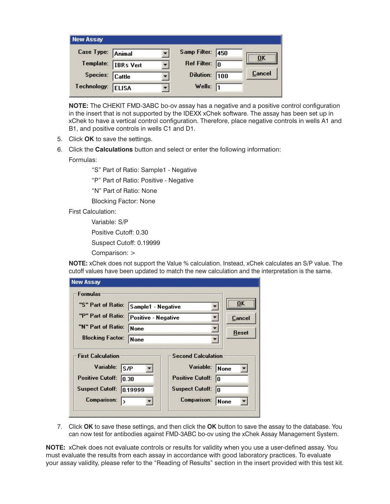| <b>New Assay</b>  |                  |                         |     |           |
|-------------------|------------------|-------------------------|-----|-----------|
| Case Type: Animal |                  | Samp Filter: 450        |     | <b>OK</b> |
| Template:         | <b>IBRs</b> Vert | Ref Filter: $\boxed{0}$ |     |           |
| Species:          | Cattle           | <b>Dilution:</b>        | 100 | Cancel    |
| Technology:       | <b>ELISA</b>     | Wells: $\sqrt{1}$       |     |           |

**NOTE:** The CHEKIT FMD-3ABC bo-ov assay has a negative and a positive control configuration in the insert that is not supported by the IDEXX xChek software. The assay has been set up in xChek to have a vertical control configuration. Therefore, place negative controls in wells A1 and B1, and positive controls in wells C1 and D1.

- 5. Click **OK** to save the settings.
- 6. Click the **Calculations** button and select or enter the following information: Formulas:

"S" Part of Ratio: Sample1 - Negative

"P" Part of Ratio: Positive - Negative

"N" Part of Ratio: None

Blocking Factor: None

First Calculation:

Variable: S/P

Positive Cutoff: 0.30

Suspect Cutoff: 0.19999

Comparison: >

**NOTE:** xChek does not support the Value % calculation. Instead, xChek calculates an S/P value. The cutoff values have been updated to match the new calculation and the interpretation is the same.

| <b>New Assay</b>                  |                                     |                               |                           |
|-----------------------------------|-------------------------------------|-------------------------------|---------------------------|
| <b>Formulas</b>                   |                                     |                               |                           |
| "S" Part of Ratio:                | Sample1 - Negative                  |                               | $\overline{\mathbf{0}}$ K |
| "P" Part of Ratio:                | Positive - Negative<br>None<br>None |                               | Cancel<br>Reset           |
| "N" Part of Ratio:                |                                     |                               |                           |
| <b>Blocking Factor:</b>           |                                     |                               |                           |
| <b>First Calculation</b>          |                                     | <b>Second Calculation</b>     |                           |
| Variable:<br>S/P                  |                                     | Variable:                     | <b>None</b>               |
| <b>Positive Cutoff:</b><br>10.30  |                                     | <b>Positive Cutoff:</b><br>I۵ |                           |
| <b>Suspect Cutoff:</b><br>0.19999 |                                     | <b>Suspect Cutoff:</b><br>l0. |                           |
| Comparison:<br>>                  |                                     | Comparison:                   | None                      |
|                                   |                                     |                               |                           |

7. Click **OK** to save these settings, and then click the **OK** button to save the assay to the database. You can now test for antibodies against FMD-3ABC bo-ov using the xChek Assay Management System.

**NOTE:** xChek does not evaluate controls or results for validity when you use a user-defined assay. You must evaluate the results from each assay in accordance with good laboratory practices. To evaluate your assay validity, please refer to the "Reading of Results" section in the insert provided with this test kit.